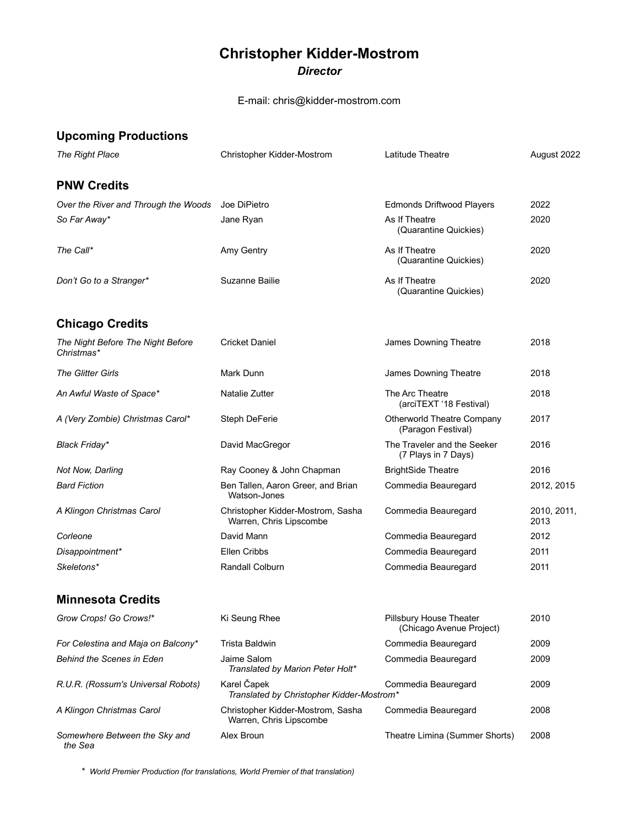## **Christopher Kidder-Mostrom** *Director*

E-mail: chris@kidder-mostrom.com

| <b>Upcoming Productions</b>                     |                                                              |                                                            |                     |
|-------------------------------------------------|--------------------------------------------------------------|------------------------------------------------------------|---------------------|
| The Right Place                                 | Christopher Kidder-Mostrom                                   | Latitude Theatre                                           | August 2022         |
| <b>PNW Credits</b>                              |                                                              |                                                            |                     |
| Over the River and Through the Woods            | Joe DiPietro                                                 | <b>Edmonds Driftwood Players</b>                           | 2022                |
| So Far Away*                                    | Jane Ryan                                                    | As If Theatre<br>(Quarantine Quickies)                     | 2020                |
| The Call*                                       | Amy Gentry                                                   | As If Theatre<br>(Quarantine Quickies)                     | 2020                |
| Don't Go to a Stranger*                         | Suzanne Bailie                                               | As If Theatre<br>(Quarantine Quickies)                     | 2020                |
| <b>Chicago Credits</b>                          |                                                              |                                                            |                     |
| The Night Before The Night Before<br>Christmas* | <b>Cricket Daniel</b>                                        | James Downing Theatre                                      | 2018                |
| <b>The Glitter Girls</b>                        | Mark Dunn                                                    | James Downing Theatre                                      | 2018                |
| An Awful Waste of Space*                        | Natalie Zutter                                               | The Arc Theatre<br>(arciTEXT '18 Festival)                 | 2018                |
| A (Very Zombie) Christmas Carol*                | Steph DeFerie                                                | <b>Otherworld Theatre Company</b><br>(Paragon Festival)    | 2017                |
| Black Friday*                                   | David MacGregor                                              | The Traveler and the Seeker<br>(7 Plays in 7 Days)         | 2016                |
| Not Now, Darling                                | Ray Cooney & John Chapman                                    | <b>BrightSide Theatre</b>                                  | 2016                |
| <b>Bard Fiction</b>                             | Ben Tallen, Aaron Greer, and Brian<br>Watson-Jones           | Commedia Beauregard                                        | 2012, 2015          |
| A Klingon Christmas Carol                       | Christopher Kidder-Mostrom, Sasha<br>Warren, Chris Lipscombe | Commedia Beauregard                                        | 2010, 2011,<br>2013 |
| Corleone                                        | David Mann                                                   | Commedia Beauregard                                        | 2012                |
| Disappointment*                                 | Ellen Cribbs                                                 | Commedia Beauregard                                        | 2011                |
| Skeletons*                                      | Randall Colburn                                              | Commedia Beauregard                                        | 2011                |
| <b>Minnesota Credits</b>                        |                                                              |                                                            |                     |
| Grow Crops! Go Crows!*                          | Ki Seung Rhee                                                | <b>Pillsbury House Theater</b><br>(Chicago Avenue Project) | 2010                |
| For Celestina and Maja on Balcony*              | Trista Baldwin                                               | Commedia Beauregard                                        | 2009                |
| <b>Behind the Scenes in Eden</b>                | Jaime Salom<br>Translated by Marion Peter Holt*              | Commedia Beauregard                                        | 2009                |
| R.U.R. (Rossum's Universal Robots)              | Karel Čapek<br>Translated by Christopher Kidder-Mostrom*     | Commedia Beauregard                                        | 2009                |
| A Klingon Christmas Carol                       | Christopher Kidder-Mostrom, Sasha<br>Warren, Chris Lipscombe | Commedia Beauregard                                        | 2008                |
| Somewhere Between the Sky and<br>the Sea        | Alex Broun                                                   | Theatre Limina (Summer Shorts)                             | 2008                |

 *\* World Premier Production (for translations, World Premier of that translation)*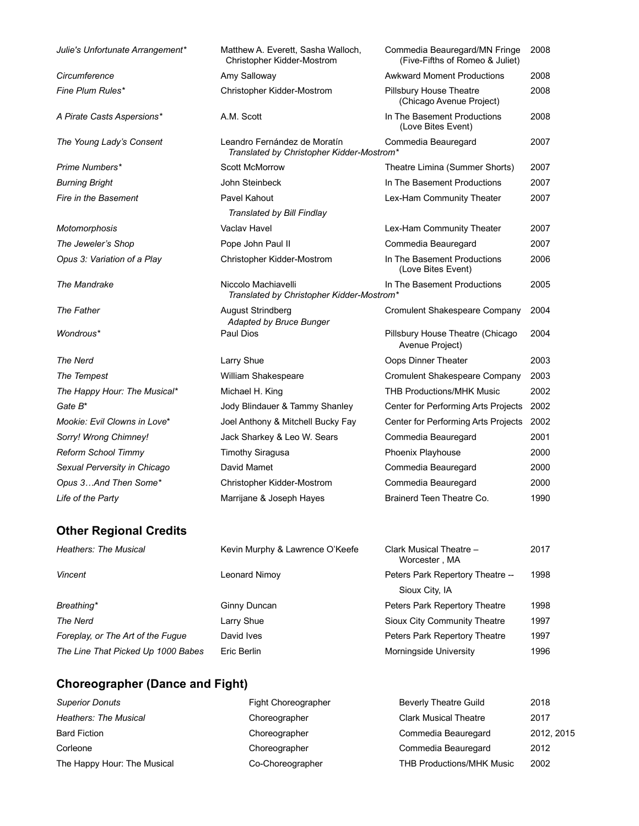| Julie's Unfortunate Arrangement* | Matthew A. Everett, Sasha Walloch,<br>Christopher Kidder-Mostrom          | Commedia Beauregard/MN Fringe<br>(Five-Fifths of Romeo & Juliet) | 2008 |
|----------------------------------|---------------------------------------------------------------------------|------------------------------------------------------------------|------|
| Circumference                    | Amy Salloway                                                              | <b>Awkward Moment Productions</b>                                | 2008 |
| Fine Plum Rules*                 | Christopher Kidder-Mostrom                                                | Pillsbury House Theatre<br>(Chicago Avenue Project)              | 2008 |
| A Pirate Casts Aspersions*       | A.M. Scott                                                                | In The Basement Productions<br>(Love Bites Event)                | 2008 |
| The Young Lady's Consent         | Leandro Fernández de Moratín<br>Translated by Christopher Kidder-Mostrom* | Commedia Beauregard                                              | 2007 |
| Prime Numbers*                   | <b>Scott McMorrow</b>                                                     | Theatre Limina (Summer Shorts)                                   | 2007 |
| <b>Burning Bright</b>            | John Steinbeck                                                            | In The Basement Productions                                      | 2007 |
| Fire in the Basement             | Pavel Kahout                                                              | Lex-Ham Community Theater                                        | 2007 |
|                                  | Translated by Bill Findlay                                                |                                                                  |      |
| Motomorphosis                    | Vaclav Havel                                                              | Lex-Ham Community Theater                                        | 2007 |
| The Jeweler's Shop               | Pope John Paul II                                                         | Commedia Beauregard                                              | 2007 |
| Opus 3: Variation of a Play      | Christopher Kidder-Mostrom                                                | In The Basement Productions<br>(Love Bites Event)                | 2006 |
| The Mandrake                     | Niccolo Machiavelli<br>Translated by Christopher Kidder-Mostrom*          | In The Basement Productions                                      | 2005 |
| <b>The Father</b>                | <b>August Strindberg</b><br>Adapted by Bruce Bunger                       | <b>Cromulent Shakespeare Company</b>                             | 2004 |
| Wondrous*                        | Paul Dios                                                                 | Pillsbury House Theatre (Chicago<br>Avenue Project)              | 2004 |
| <b>The Nerd</b>                  | Larry Shue                                                                | Oops Dinner Theater                                              | 2003 |
| The Tempest                      | William Shakespeare                                                       | Cromulent Shakespeare Company                                    | 2003 |
| The Happy Hour: The Musical*     | Michael H. King                                                           | <b>THB Productions/MHK Music</b>                                 | 2002 |
| Gate B <sup>*</sup>              | Jody Blindauer & Tammy Shanley                                            | Center for Performing Arts Projects                              | 2002 |
| Mookie: Evil Clowns in Love*     | Joel Anthony & Mitchell Bucky Fay                                         | Center for Performing Arts Projects                              | 2002 |
| Sorry! Wrong Chimney!            | Jack Sharkey & Leo W. Sears                                               | Commedia Beauregard                                              | 2001 |
| <b>Reform School Timmy</b>       | <b>Timothy Siragusa</b>                                                   | Phoenix Playhouse                                                | 2000 |
| Sexual Perversity in Chicago     | David Mamet                                                               | Commedia Beauregard                                              | 2000 |
| Opus 3And Then Some*             | Christopher Kidder-Mostrom                                                | Commedia Beauregard                                              | 2000 |
| Life of the Party                | Marrijane & Joseph Hayes                                                  | Brainerd Teen Theatre Co.                                        | 1990 |
| <b>Other Regional Credits</b>    |                                                                           |                                                                  |      |
| <b>Heathers: The Musical</b>     | Kevin Murphy & Lawrence O'Keefe                                           | Clark Musical Theatre -<br>Worcester, MA                         | 2017 |
| <b>Vincent</b>                   | <b>Leonard Nimoy</b>                                                      | Peters Park Repertory Theatre --<br>$Cion Cin B1$                | 1998 |

*The Line That Picked Up 1000 Babes* Eric Berlin **Morningside University** 1996

Sioux City, IA Breathing\* **Breathing\* Breathing\* Breathing\* Ginny Duncan Peters Park Repertory TheatreThe Nerd Community Theatre***Foreplay, or The Art of the Fugue* David Ives **Peters Park Repertory Theatre**

## **Choreographer (Dance and Fight)**

| <b>Superior Donuts</b>       | Fight Choreographer | <b>Beverly Theatre Guild</b>     | 2018       |
|------------------------------|---------------------|----------------------------------|------------|
| <b>Heathers: The Musical</b> | Choreographer       | <b>Clark Musical Theatre</b>     | 2017       |
| <b>Bard Fiction</b>          | Choreographer       | Commedia Beauregard              | 2012, 2015 |
| Corleone                     | Choreographer       | Commedia Beauregard              | 2012       |
| The Happy Hour: The Musical  | Co-Choreographer    | <b>THB Productions/MHK Music</b> | 2002       |